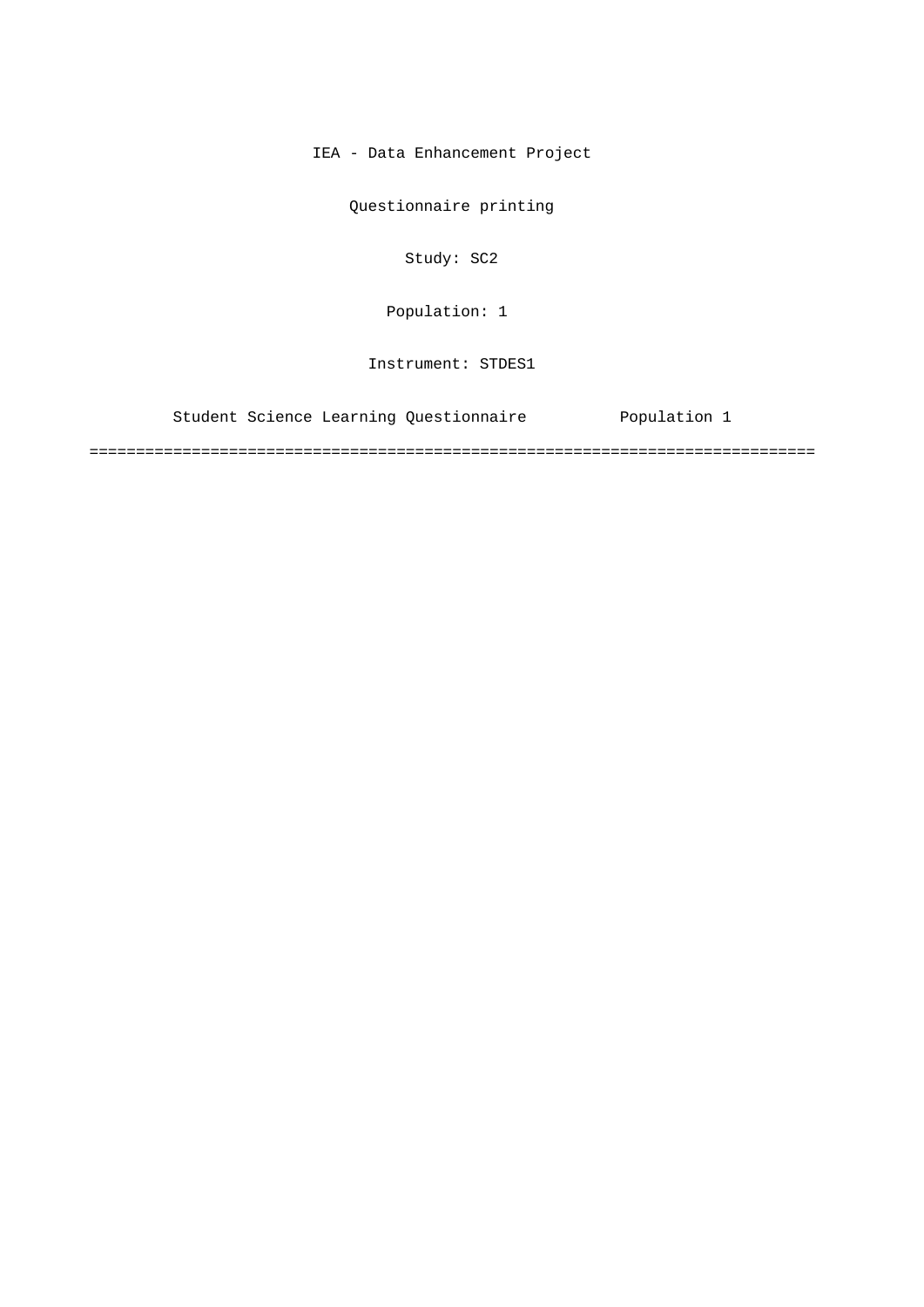IEA - Data Enhancement Project

Questionnaire printing

Study: SC2

Population: 1

Instrument: STDES1

Student Science Learning Questionnaire Population 1

==============================================================================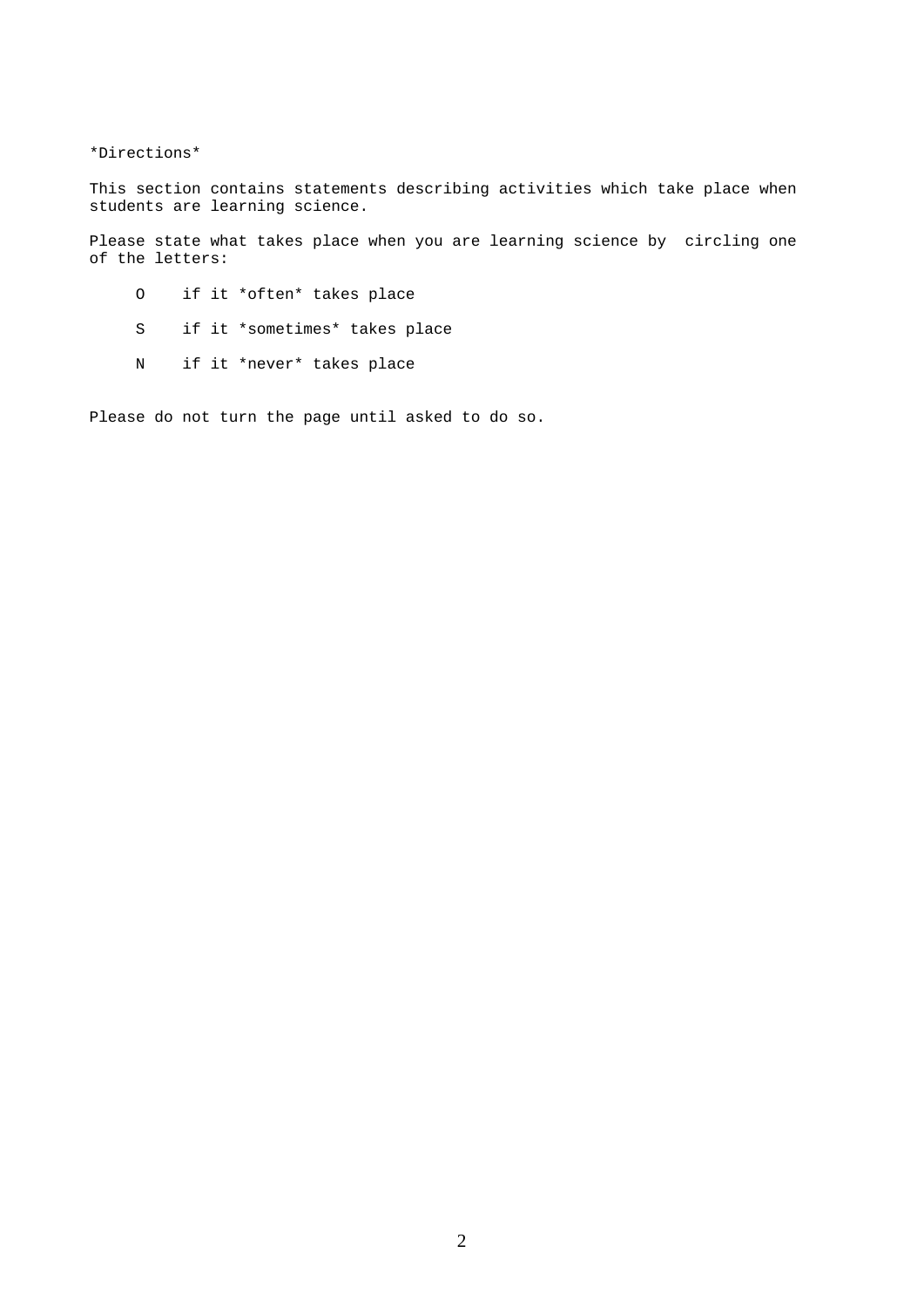\*Directions\*

This section contains statements describing activities which take place when students are learning science.

Please state what takes place when you are learning science by circling one of the letters:

- O if it \*often\* takes place
- S if it \*sometimes\* takes place
- N if it \*never\* takes place

Please do not turn the page until asked to do so.